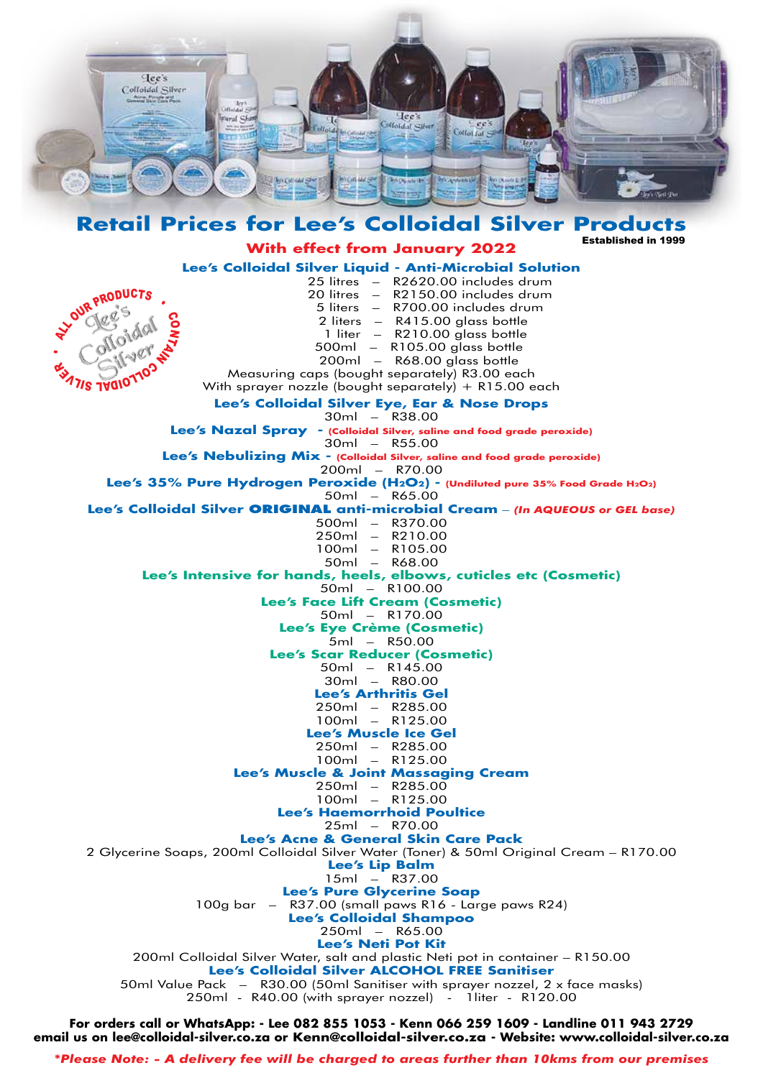

**Retail Prices for Lee's Colloidal Silver Products** Established in 1999

**With effect from January 2022**

**Lee's Colloidal Silver Liquid - Anti-Microbial Solution** 25 litres – R2620.00 includes drum 20 litres – R2150.00 includes drum 5 liters – R700.00 includes drum 2 liters – R415.00 glass bottle 1 liter – R210.00 glass bottle 500ml – R105.00 glass bottle 200ml – R68.00 glass bottle Measuring caps (bought separately) R3.00 each With sprayer nozzle (bought separately)  $+$  R15.00 each **Lee's Colloidal Silver Eye, Ear & Nose Drops**  $30ml -$  R38.00 **Lee's Nazal Spray - (Colloidal Silver, saline and food grade peroxide)** 30ml – R55.00 **Lee's Nebulizing Mix - (Colloidal Silver, saline and food grade peroxide)** 200ml – R70.00 **Lee's 35% Pure Hydrogen Peroxide (H2O2) - (Undiluted pure 35% Food Grade H2O2)** 50ml – R65.00 **Lee's Colloidal Silver ORIGINAL anti-microbial Cream** – *(In AQUEOUS or GEL base)* 500ml – R370.00 250ml – R210.00 100ml – R105.00 50ml – R68.00 **Lee's Intensive for hands, heels, elbows, cuticles etc (Cosmetic)** 50ml – R100.00 **Lee's Face Lift Cream (Cosmetic)** 50ml – R170.00 **Lee's Eye Crème (Cosmetic)** 5ml – R50.00 **Lee's Scar Reducer (Cosmetic)** 50ml – R145.00 30ml – R80.00 **Lee's Arthritis Gel** 250ml – R285.00 100ml – R125.00 **Lee's Muscle Ice Gel** 250ml – R285.00 100ml – R125.00 **Lee's Muscle & Joint Massaging Cream** 250ml – R285.00 100ml – R125.00 **Lee's Haemorrhoid Poultice** 25ml – R70.00 **Lee's Acne & General Skin Care Pack** 2 Glycerine Soaps, 200ml Colloidal Silver Water (Toner) & 50ml Original Cream – R170.00 **Lee's Lip Balm** 15ml – R37.00 **Lee's Pure Glycerine Soap** 100g bar – R37.00 (small paws R16 - Large paws R24) **Lee's Colloidal Shampoo** 250ml – R65.00 **Lee's Neti Pot Kit** 200ml Colloidal Silver Water, salt and plastic Neti pot in container – R150.00 **Lee's Colloidal Silver ALCOHOL FREE Sanitiser** 50ml Value Pack – R30.00 (50ml Sanitiser with sprayer nozzel, 2 x face masks) 250ml - R40.00 (with sprayer nozzel) - 1liter - R120.00 LIR PRODUCTS NTA N 171S 190101102 ER

**For orders call or WhatsApp: - Lee 082 855 1053 - Kenn 066 259 1609 - Landline 011 943 2729 email us on lee@colloidal-silver.co.za or Kenn@colloidal-silver.co.za - Website: www.colloidal-silver.co.za**

*\*Please Note: - A delivery fee will be charged to areas further than 10kms from our premises*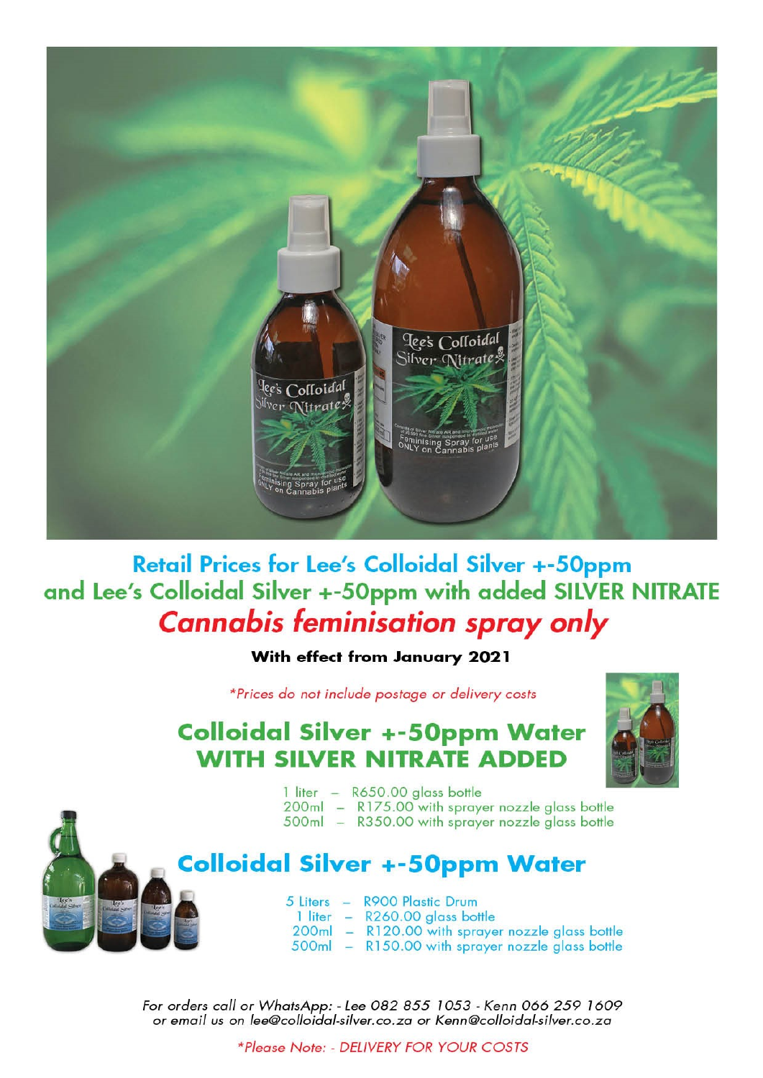

**Retail Prices for Lee's Colloidal Silver +-50ppm** and Lee's Colloidal Silver +-50ppm with added SILVER NITRATE **Cannabis feminisation spray only** 

#### With effect from January 2021

\*Prices do not include postage or delivery costs

## **Colloidal Silver +-50ppm Water WITH SILVER NITRATE ADDED**



- 1 liter R650.00 glass bottle 200ml - R175.00 with sprayer nozzle glass bottle
- 500ml R350.00 with sprayer nozzle glass bottle

### **Colloidal Silver +-50ppm Water**

5 Liters - R900 Plastic Drum 1 liter - R260.00 glass bottle 200ml - R120.00 with sprayer nozzle glass bottle 500ml - R150.00 with sprayer nozzle glass bottle

For orders call or WhatsApp: - Lee 082 855 1053 - Kenn 066 259 1609 or email us on lee@colloidal-silver.co.za or Kenn@colloidal-silver.co.za